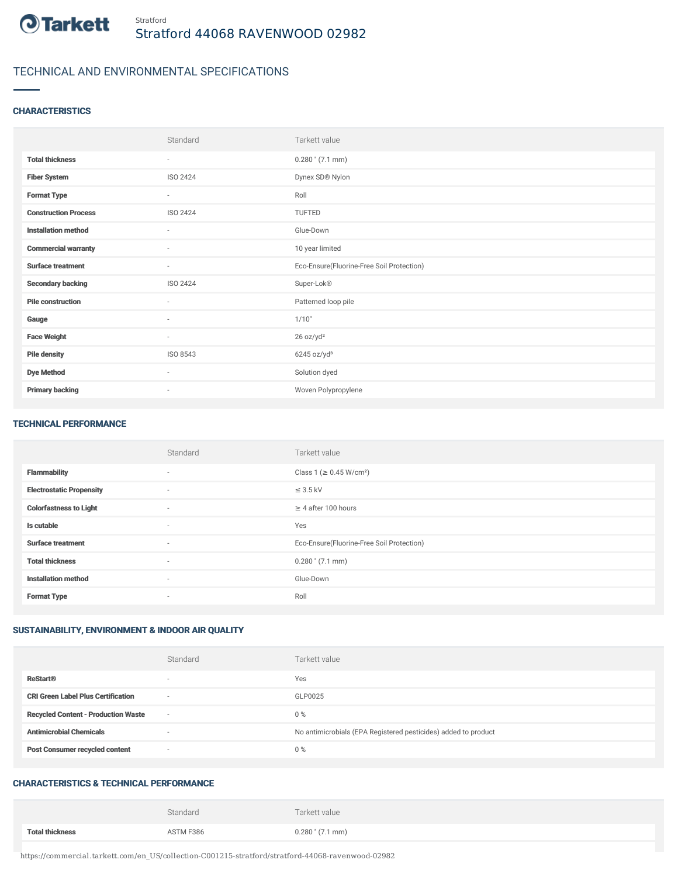

# TECHNICAL AND ENVIRONMENTAL SPECIFICATIONS

### **CHARACTERISTICS**

|                             | Standard                 | Tarkett value                             |
|-----------------------------|--------------------------|-------------------------------------------|
| <b>Total thickness</b>      | ٠                        | $0.280$ " $(7.1$ mm)                      |
| <b>Fiber System</b>         | ISO 2424                 | Dynex SD® Nylon                           |
| <b>Format Type</b>          | $\overline{\phantom{a}}$ | Roll                                      |
| <b>Construction Process</b> | ISO 2424                 | TUFTED                                    |
| <b>Installation method</b>  | ٠                        | Glue-Down                                 |
| <b>Commercial warranty</b>  | ٠                        | 10 year limited                           |
| <b>Surface treatment</b>    | ٠                        | Eco-Ensure(Fluorine-Free Soil Protection) |
| <b>Secondary backing</b>    | ISO 2424                 | Super-Lok®                                |
| <b>Pile construction</b>    | $\sim$                   | Patterned loop pile                       |
| Gauge                       | $\sim$                   | 1/10"                                     |
| <b>Face Weight</b>          | $\sim$                   | 26 oz/yd <sup>2</sup>                     |
| <b>Pile density</b>         | ISO 8543                 | 6245 oz/yd <sup>3</sup>                   |
| <b>Dye Method</b>           | $\sim$                   | Solution dyed                             |
| <b>Primary backing</b>      | $\overline{\phantom{a}}$ | Woven Polypropylene                       |

#### TECHNICAL PERFORMANCE

|                                 | Standard                 | Tarkett value                             |
|---------------------------------|--------------------------|-------------------------------------------|
| <b>Flammability</b>             | $\overline{\phantom{a}}$ | Class 1 (≥ 0.45 W/cm <sup>2</sup> )       |
| <b>Electrostatic Propensity</b> | $\sim$                   | $\leq$ 3.5 kV                             |
| <b>Colorfastness to Light</b>   | $\sim$                   | $\geq$ 4 after 100 hours                  |
| Is cutable                      | $\sim$                   | Yes                                       |
| <b>Surface treatment</b>        | $\sim$                   | Eco-Ensure(Fluorine-Free Soil Protection) |
| <b>Total thickness</b>          | $\sim$                   | $0.280$ " (7.1 mm)                        |
| <b>Installation method</b>      | $\sim$                   | Glue-Down                                 |
| <b>Format Type</b>              | $\overline{\phantom{a}}$ | Roll                                      |

# SUSTAINABILITY, ENVIRONMENT & INDOOR AIR QUALITY

|                                            | Standard | Tarkett value                                                  |
|--------------------------------------------|----------|----------------------------------------------------------------|
| <b>ReStart®</b>                            |          | Yes                                                            |
| <b>CRI Green Label Plus Certification</b>  | $\sim$   | GLP0025                                                        |
| <b>Recycled Content - Production Waste</b> | $\sim$   | $0\%$                                                          |
| <b>Antimicrobial Chemicals</b>             |          | No antimicrobials (EPA Registered pesticides) added to product |
| <b>Post Consumer recycled content</b>      | $\sim$   | 0%                                                             |

### CHARACTERISTICS & TECHNICAL PERFORMANCE

|                        | Standard  | Tarkett value      |
|------------------------|-----------|--------------------|
| <b>Total thickness</b> | ASTM F386 | $0.280$ " (7.1 mm) |

https://commercial.tarkett.com/en\_US/collection-C001215-stratford/stratford-44068-ravenwood-02982